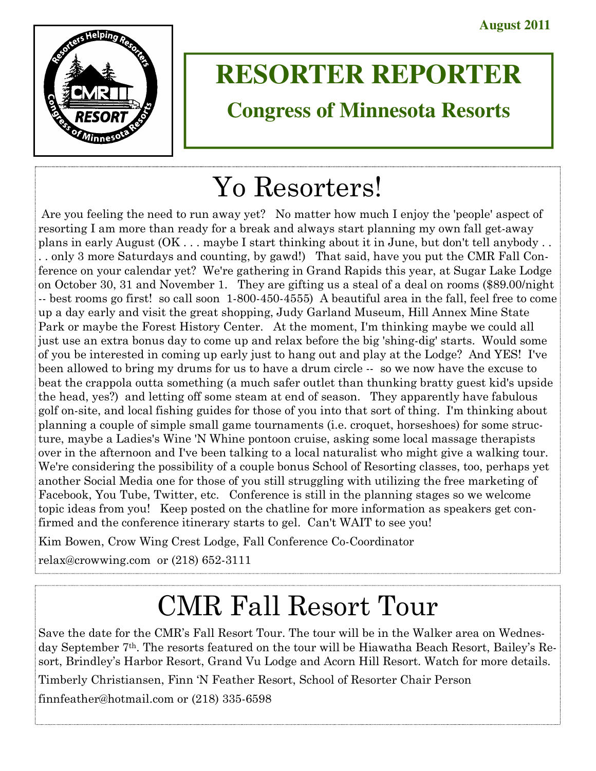

# **RESORTER REPORTER**

# **Congress of Minnesota Resorts**

# Yo Resorters!

 Are you feeling the need to run away yet? No matter how much I enjoy the 'people' aspect of resorting I am more than ready for a break and always start planning my own fall get-away plans in early August (OK . . . maybe I start thinking about it in June, but don't tell anybody . . . . only 3 more Saturdays and counting, by gawd!) That said, have you put the CMR Fall Conference on your calendar yet? We're gathering in Grand Rapids this year, at Sugar Lake Lodge on October 30, 31 and November 1. They are gifting us a steal of a deal on rooms (\$89.00/night -- best rooms go first! so call soon 1-800-450-4555) A beautiful area in the fall, feel free to come up a day early and visit the great shopping, Judy Garland Museum, Hill Annex Mine State Park or maybe the Forest History Center. At the moment, I'm thinking maybe we could all just use an extra bonus day to come up and relax before the big 'shing-dig' starts. Would some of you be interested in coming up early just to hang out and play at the Lodge? And YES! I've been allowed to bring my drums for us to have a drum circle -- so we now have the excuse to beat the crappola outta something (a much safer outlet than thunking bratty guest kid's upside the head, yes?) and letting off some steam at end of season. They apparently have fabulous golf on-site, and local fishing guides for those of you into that sort of thing. I'm thinking about planning a couple of simple small game tournaments (i.e. croquet, horseshoes) for some structure, maybe a Ladies's Wine 'N Whine pontoon cruise, asking some local massage therapists over in the afternoon and I've been talking to a local naturalist who might give a walking tour. We're considering the possibility of a couple bonus School of Resorting classes, too, perhaps yet another Social Media one for those of you still struggling with utilizing the free marketing of Facebook, You Tube, Twitter, etc. Conference is still in the planning stages so we welcome topic ideas from you! Keep posted on the chatline for more information as speakers get confirmed and the conference itinerary starts to gel. Can't WAIT to see you!

Kim Bowen, Crow Wing Crest Lodge, Fall Conference Co-Coordinator

relax@crowwing.com or (218) 652-3111

# CMR Fall Resort Tour

Save the date for the CMR's Fall Resort Tour. The tour will be in the Walker area on Wednesday September 7th. The resorts featured on the tour will be Hiawatha Beach Resort, Bailey's Resort, Brindley's Harbor Resort, Grand Vu Lodge and Acorn Hill Resort. Watch for more details.

Timberly Christiansen, Finn 'N Feather Resort, School of Resorter Chair Person

finnfeather@hotmail.com or (218) 335-6598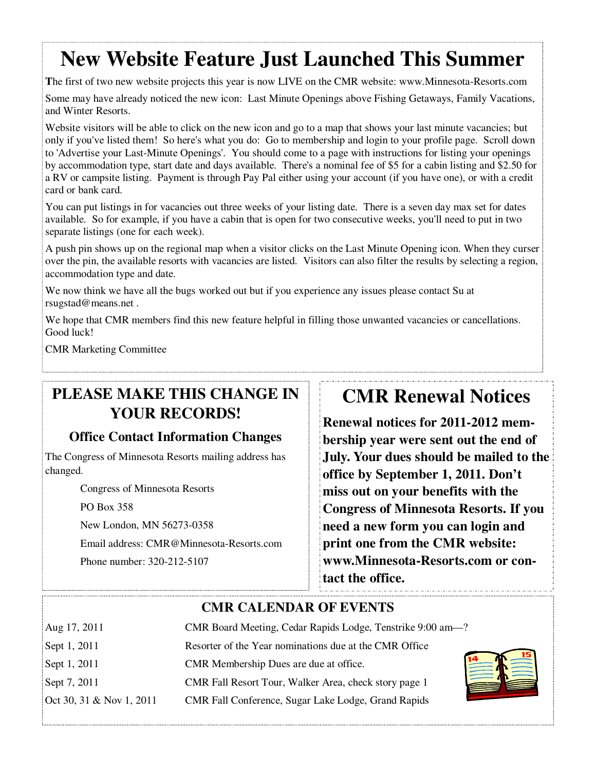## **New Website Feature Just Launched This Summer**

**T**he first of two new website projects this year is now LIVE on the CMR website: www.Minnesota-Resorts.com

Some may have already noticed the new icon: Last Minute Openings above Fishing Getaways, Family Vacations, and Winter Resorts.

Website visitors will be able to click on the new icon and go to a map that shows your last minute vacancies; but only if you've listed them! So here's what you do: Go to membership and login to your profile page. Scroll down to 'Advertise your Last-Minute Openings'. You should come to a page with instructions for listing your openings by accommodation type, start date and days available. There's a nominal fee of \$5 for a cabin listing and \$2.50 for a RV or campsite listing. Payment is through Pay Pal either using your account (if you have one), or with a credit card or bank card.

You can put listings in for vacancies out three weeks of your listing date. There is a seven day max set for dates available. So for example, if you have a cabin that is open for two consecutive weeks, you'll need to put in two separate listings (one for each week).

A push pin shows up on the regional map when a visitor clicks on the Last Minute Opening icon. When they curser over the pin, the available resorts with vacancies are listed. Visitors can also filter the results by selecting a region, accommodation type and date.

We now think we have all the bugs worked out but if you experience any issues please contact Su at rsugstad@means.net .

We hope that CMR members find this new feature helpful in filling those unwanted vacancies or cancellations. Good luck!

CMR Marketing Committee

### **PLEASE MAKE THIS CHANGE IN YOUR RECORDS!**

### **Office Contact Information Changes**

The Congress of Minnesota Resorts mailing address has changed.

Congress of Minnesota Resorts

PO Box 358

New London, MN 56273-0358

Email address: CMR@Minnesota-Resorts.com

Phone number: 320-212-5107

## **CMR Renewal Notices**

**Renewal notices for 2011-2012 membership year were sent out the end of July. Your dues should be mailed to the office by September 1, 2011. Don't miss out on your benefits with the Congress of Minnesota Resorts. If you need a new form you can login and print one from the CMR website: www.Minnesota-Resorts.com or contact the office.** 

### **CMR CALENDAR OF EVENTS**

| Aug 17, 2011             | CMR Board Meeting, Cedar Rapids Lodge, Tenstrike 9:00 am-? |
|--------------------------|------------------------------------------------------------|
| Sept 1, 2011             | Resorter of the Year nominations due at the CMR Office     |
| Sept 1, 2011             | CMR Membership Dues are due at office.                     |
| Sept 7, 2011             | CMR Fall Resort Tour, Walker Area, check story page 1      |
| Oct 30, 31 & Nov 1, 2011 | CMR Fall Conference, Sugar Lake Lodge, Grand Rapids        |

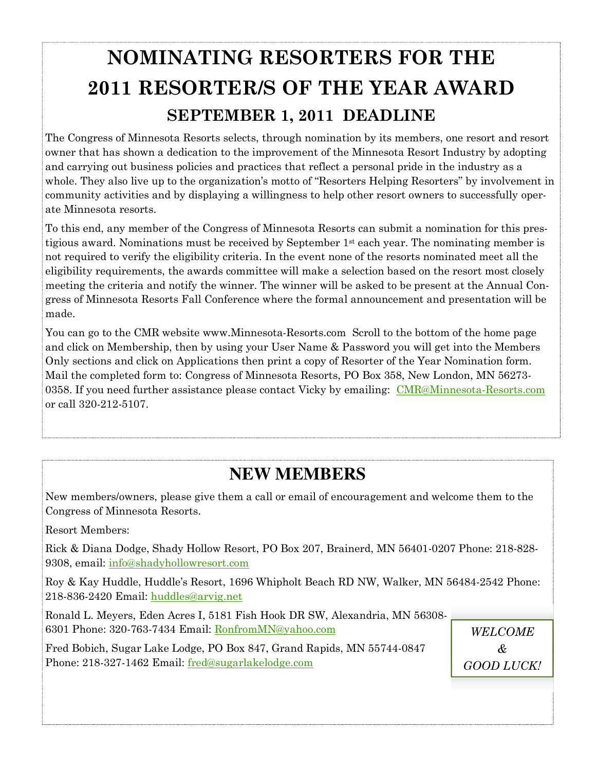# **NOMINATING RESORTERS FOR THE 2011 RESORTER/S OF THE YEAR AWARD SEPTEMBER 1, 2011 DEADLINE**

The Congress of Minnesota Resorts selects, through nomination by its members, one resort and resort owner that has shown a dedication to the improvement of the Minnesota Resort Industry by adopting and carrying out business policies and practices that reflect a personal pride in the industry as a whole. They also live up to the organization's motto of "Resorters Helping Resorters" by involvement in community activities and by displaying a willingness to help other resort owners to successfully operate Minnesota resorts.

To this end, any member of the Congress of Minnesota Resorts can submit a nomination for this prestigious award. Nominations must be received by September 1st each year. The nominating member is not required to verify the eligibility criteria. In the event none of the resorts nominated meet all the eligibility requirements, the awards committee will make a selection based on the resort most closely meeting the criteria and notify the winner. The winner will be asked to be present at the Annual Congress of Minnesota Resorts Fall Conference where the formal announcement and presentation will be made.

You can go to the CMR website www.Minnesota-Resorts.com Scroll to the bottom of the home page and click on Membership, then by using your User Name & Password you will get into the Members Only sections and click on Applications then print a copy of Resorter of the Year Nomination form. Mail the completed form to: Congress of Minnesota Resorts, PO Box 358, New London, MN 56273- 0358. If you need further assistance please contact Vicky by emailing: CMR@Minnesota-Resorts.com or call 320-212-5107.

## **NEW MEMBERS**

New members/owners, please give them a call or email of encouragement and welcome them to the Congress of Minnesota Resorts.

Resort Members:

Rick & Diana Dodge, Shady Hollow Resort, PO Box 207, Brainerd, MN 56401-0207 Phone: 218-828- 9308, email: info@shadyhollowresort.com

Roy & Kay Huddle, Huddle's Resort, 1696 Whipholt Beach RD NW, Walker, MN 56484-2542 Phone: 218-836-2420 Email: huddles@arvig.net

Ronald L. Meyers, Eden Acres I, 5181 Fish Hook DR SW, Alexandria, MN 56308- 6301 Phone: 320-763-7434 Email: RonfromMN@yahoo.com

Fred Bobich, Sugar Lake Lodge, PO Box 847, Grand Rapids, MN 55744-0847 Phone: 218-327-1462 Email: fred@sugarlakelodge.com

*WELCOME & GOOD LUCK!*